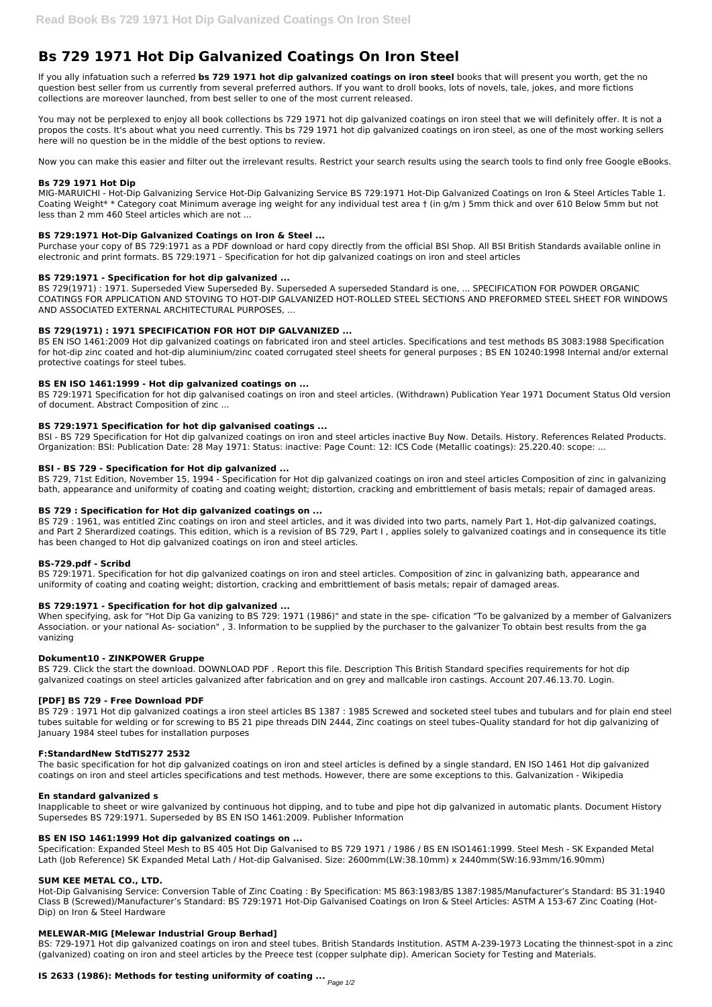# **Bs 729 1971 Hot Dip Galvanized Coatings On Iron Steel**

If you ally infatuation such a referred **bs 729 1971 hot dip galvanized coatings on iron steel** books that will present you worth, get the no question best seller from us currently from several preferred authors. If you want to droll books, lots of novels, tale, jokes, and more fictions collections are moreover launched, from best seller to one of the most current released.

You may not be perplexed to enjoy all book collections bs 729 1971 hot dip galvanized coatings on iron steel that we will definitely offer. It is not a propos the costs. It's about what you need currently. This bs 729 1971 hot dip galvanized coatings on iron steel, as one of the most working sellers here will no question be in the middle of the best options to review.

Now you can make this easier and filter out the irrelevant results. Restrict your search results using the search tools to find only free Google eBooks.

## **Bs 729 1971 Hot Dip**

MIG-MARUICHI - Hot-Dip Galvanizing Service Hot-Dip Galvanizing Service BS 729:1971 Hot-Dip Galvanized Coatings on Iron & Steel Articles Table 1. Coating Weight\* \* Category coat Minimum average ing weight for any individual test area † (in g/m ) 5mm thick and over 610 Below 5mm but not less than 2 mm 460 Steel articles which are not ...

## **BS 729:1971 Hot-Dip Galvanized Coatings on Iron & Steel ...**

Purchase your copy of BS 729:1971 as a PDF download or hard copy directly from the official BSI Shop. All BSI British Standards available online in electronic and print formats. BS 729:1971 - Specification for hot dip galvanized coatings on iron and steel articles

## **BS 729:1971 - Specification for hot dip galvanized ...**

BS 729(1971) : 1971. Superseded View Superseded By. Superseded A superseded Standard is one, ... SPECIFICATION FOR POWDER ORGANIC COATINGS FOR APPLICATION AND STOVING TO HOT-DIP GALVANIZED HOT-ROLLED STEEL SECTIONS AND PREFORMED STEEL SHEET FOR WINDOWS AND ASSOCIATED EXTERNAL ARCHITECTURAL PURPOSES, ...

## **BS 729(1971) : 1971 SPECIFICATION FOR HOT DIP GALVANIZED ...**

BS EN ISO 1461:2009 Hot dip galvanized coatings on fabricated iron and steel articles. Specifications and test methods BS 3083:1988 Specification for hot-dip zinc coated and hot-dip aluminium/zinc coated corrugated steel sheets for general purposes ; BS EN 10240:1998 Internal and/or external protective coatings for steel tubes.

## **BS EN ISO 1461:1999 - Hot dip galvanized coatings on ...**

BS 729:1971 Specification for hot dip galvanised coatings on iron and steel articles. (Withdrawn) Publication Year 1971 Document Status Old version of document. Abstract Composition of zinc ...

## **BS 729:1971 Specification for hot dip galvanised coatings ...**

BSI - BS 729 Specification for Hot dip galvanized coatings on iron and steel articles inactive Buy Now. Details. History. References Related Products. Organization: BSI: Publication Date: 28 May 1971: Status: inactive: Page Count: 12: ICS Code (Metallic coatings): 25.220.40: scope: ...

## **BSI - BS 729 - Specification for Hot dip galvanized ...**

BS 729, 71st Edition, November 15, 1994 - Specification for Hot dip galvanized coatings on iron and steel articles Composition of zinc in galvanizing bath, appearance and uniformity of coating and coating weight; distortion, cracking and embrittlement of basis metals; repair of damaged areas.

## **BS 729 : Specification for Hot dip galvanized coatings on ...**

BS 729 : 1961, was entitled Zinc coatings on iron and steel articles, and it was divided into two parts, namely Part 1, Hot-dip galvanized coatings, and Part 2 Sherardized coatings. This edition, which is a revision of BS 729, Part I , applies solely to galvanized coatings and in consequence its title has been changed to Hot dip galvanized coatings on iron and steel articles.

## **BS-729.pdf - Scribd**

BS 729:1971. Specification for hot dip galvanized coatings on iron and steel articles. Composition of zinc in galvanizing bath, appearance and uniformity of coating and coating weight; distortion, cracking and embrittlement of basis metals; repair of damaged areas.

## **BS 729:1971 - Specification for hot dip galvanized ...**

When specifying, ask for "Hot Dip Ga vanizing to BS 729: 1971 (1986)" and state in the spe- cification "To be galvanized by a member of Galvanizers Association. or your national As- sociation" , 3. Information to be supplied by the purchaser to the galvanizer To obtain best results from the ga vanizing

## **Dokument10 - ZINKPOWER Gruppe**

BS 729. Click the start the download. DOWNLOAD PDF . Report this file. Description This British Standard specifies requirements for hot dip galvanized coatings on steel articles galvanized after fabrication and on grey and mallcable iron castings. Account 207.46.13.70. Login.

## **[PDF] BS 729 - Free Download PDF**

BS 729 : 1971 Hot dip galvanized coatings a iron steel articles BS 1387 : 1985 Screwed and socketed steel tubes and tubulars and for plain end steel tubes suitable for welding or for screwing to BS 21 pipe threads DIN 2444, Zinc coatings on steel tubes–Quality standard for hot dip galvanizing of January 1984 steel tubes for installation purposes

## **F:StandardNew StdTIS277 2532**

The basic specification for hot dip galvanized coatings on iron and steel articles is defined by a single standard, EN ISO 1461 Hot dip galvanized coatings on iron and steel articles specifications and test methods. However, there are some exceptions to this. Galvanization - Wikipedia

#### **En standard galvanized s**

Inapplicable to sheet or wire galvanized by continuous hot dipping, and to tube and pipe hot dip galvanized in automatic plants. Document History Supersedes BS 729:1971. Superseded by BS EN ISO 1461:2009. Publisher Information

#### **BS EN ISO 1461:1999 Hot dip galvanized coatings on ...**

Specification: Expanded Steel Mesh to BS 405 Hot Dip Galvanised to BS 729 1971 / 1986 / BS EN ISO1461:1999. Steel Mesh - SK Expanded Metal Lath (Job Reference) SK Expanded Metal Lath / Hot-dip Galvanised. Size: 2600mm(LW:38.10mm) x 2440mm(SW:16.93mm/16.90mm)

#### **SUM KEE METAL CO., LTD.**

Hot-Dip Galvanising Service: Conversion Table of Zinc Coating : By Specification: MS 863:1983/BS 1387:1985/Manufacturer's Standard: BS 31:1940 Class B (Screwed)/Manufacturer's Standard: BS 729:1971 Hot-Dip Galvanised Coatings on Iron & Steel Articles: ASTM A 153-67 Zinc Coating (Hot-Dip) on Iron & Steel Hardware

#### **MELEWAR-MIG [Melewar Industrial Group Berhad]**

BS: 729-1971 Hot dip galvanized coatings on iron and steel tubes. British Standards Institution. ASTM A-239-1973 Locating the thinnest-spot in a zinc (galvanized) coating on iron and steel articles by the Preece test (copper sulphate dip). American Society for Testing and Materials.

## **IS 2633 (1986): Methods for testing uniformity of coating ...**